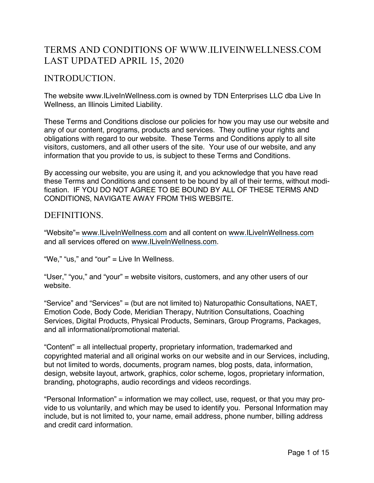# TERMS AND CONDITIONS OF WWW.ILIVEINWELLNESS.COM LAST UPDATED APRIL 15, 2020

## INTRODUCTION.

The website www.ILiveInWellness.com is owned by TDN Enterprises LLC dba Live In Wellness, an Illinois Limited Liability.

These Terms and Conditions disclose our policies for how you may use our website and any of our content, programs, products and services. They outline your rights and obligations with regard to our website. These Terms and Conditions apply to all site visitors, customers, and all other users of the site. Your use of our website, and any information that you provide to us, is subject to these Terms and Conditions.

By accessing our website, you are using it, and you acknowledge that you have read these Terms and Conditions and consent to be bound by all of their terms, without modification. IF YOU DO NOT AGREE TO BE BOUND BY ALL OF THESE TERMS AND CONDITIONS, NAVIGATE AWAY FROM THIS WEBSITE.

### DEFINITIONS.

"Website"= www.ILiveInWellness.com and all content on www.ILiveInWellness.com and all services offered on www.ILiveInWellness.com.

"We," "us," and "our" = Live In Wellness.

"User," "you," and "your" = website visitors, customers, and any other users of our website.

"Service" and "Services" = (but are not limited to) Naturopathic Consultations, NAET, Emotion Code, Body Code, Meridian Therapy, Nutrition Consultations, Coaching Services, Digital Products, Physical Products, Seminars, Group Programs, Packages, and all informational/promotional material.

"Content" = all intellectual property, proprietary information, trademarked and copyrighted material and all original works on our website and in our Services, including, but not limited to words, documents, program names, blog posts, data, information, design, website layout, artwork, graphics, color scheme, logos, proprietary information, branding, photographs, audio recordings and videos recordings.

"Personal Information" = information we may collect, use, request, or that you may provide to us voluntarily, and which may be used to identify you. Personal Information may include, but is not limited to, your name, email address, phone number, billing address and credit card information.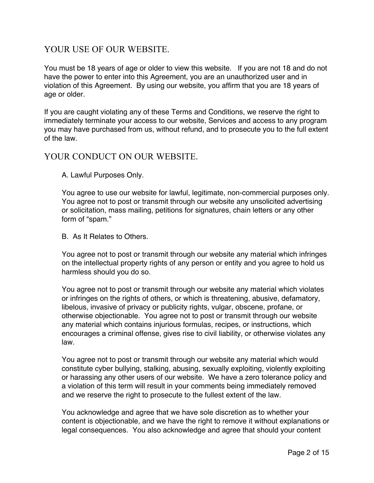## YOUR USE OF OUR WEBSITE.

You must be 18 years of age or older to view this website. If you are not 18 and do not have the power to enter into this Agreement, you are an unauthorized user and in violation of this Agreement. By using our website, you affirm that you are 18 years of age or older.

If you are caught violating any of these Terms and Conditions, we reserve the right to immediately terminate your access to our website, Services and access to any program you may have purchased from us, without refund, and to prosecute you to the full extent of the law.

## YOUR CONDUCT ON OUR WEBSITE.

A. Lawful Purposes Only.

You agree to use our website for lawful, legitimate, non-commercial purposes only. You agree not to post or transmit through our website any unsolicited advertising or solicitation, mass mailing, petitions for signatures, chain letters or any other form of "spam."

B. As It Relates to Others.

You agree not to post or transmit through our website any material which infringes on the intellectual property rights of any person or entity and you agree to hold us harmless should you do so.

You agree not to post or transmit through our website any material which violates or infringes on the rights of others, or which is threatening, abusive, defamatory, libelous, invasive of privacy or publicity rights, vulgar, obscene, profane, or otherwise objectionable. You agree not to post or transmit through our website any material which contains injurious formulas, recipes, or instructions, which encourages a criminal offense, gives rise to civil liability, or otherwise violates any law.

You agree not to post or transmit through our website any material which would constitute cyber bullying, stalking, abusing, sexually exploiting, violently exploiting or harassing any other users of our website. We have a zero tolerance policy and a violation of this term will result in your comments being immediately removed and we reserve the right to prosecute to the fullest extent of the law.

You acknowledge and agree that we have sole discretion as to whether your content is objectionable, and we have the right to remove it without explanations or legal consequences. You also acknowledge and agree that should your content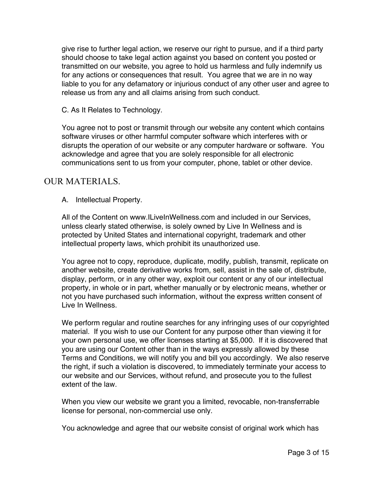give rise to further legal action, we reserve our right to pursue, and if a third party should choose to take legal action against you based on content you posted or transmitted on our website, you agree to hold us harmless and fully indemnify us for any actions or consequences that result. You agree that we are in no way liable to you for any defamatory or injurious conduct of any other user and agree to release us from any and all claims arising from such conduct.

#### C. As It Relates to Technology.

You agree not to post or transmit through our website any content which contains software viruses or other harmful computer software which interferes with or disrupts the operation of our website or any computer hardware or software. You acknowledge and agree that you are solely responsible for all electronic communications sent to us from your computer, phone, tablet or other device.

### OUR MATERIALS.

A. Intellectual Property.

All of the Content on www.ILiveInWellness.com and included in our Services, unless clearly stated otherwise, is solely owned by Live In Wellness and is protected by United States and international copyright, trademark and other intellectual property laws, which prohibit its unauthorized use.

You agree not to copy, reproduce, duplicate, modify, publish, transmit, replicate on another website, create derivative works from, sell, assist in the sale of, distribute, display, perform, or in any other way, exploit our content or any of our intellectual property, in whole or in part, whether manually or by electronic means, whether or not you have purchased such information, without the express written consent of Live In Wellness.

We perform regular and routine searches for any infringing uses of our copyrighted material. If you wish to use our Content for any purpose other than viewing it for your own personal use, we offer licenses starting at \$5,000. If it is discovered that you are using our Content other than in the ways expressly allowed by these Terms and Conditions, we will notify you and bill you accordingly. We also reserve the right, if such a violation is discovered, to immediately terminate your access to our website and our Services, without refund, and prosecute you to the fullest extent of the law.

When you view our website we grant you a limited, revocable, non-transferrable license for personal, non-commercial use only.

You acknowledge and agree that our website consist of original work which has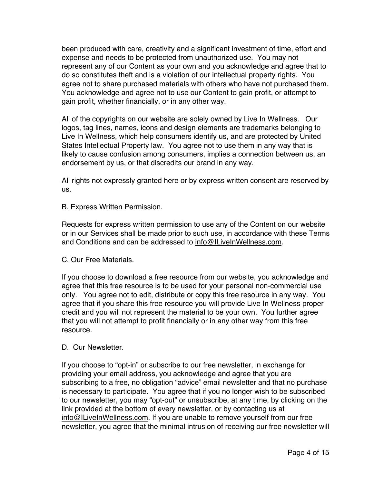been produced with care, creativity and a significant investment of time, effort and expense and needs to be protected from unauthorized use. You may not represent any of our Content as your own and you acknowledge and agree that to do so constitutes theft and is a violation of our intellectual property rights. You agree not to share purchased materials with others who have not purchased them. You acknowledge and agree not to use our Content to gain profit, or attempt to gain profit, whether financially, or in any other way.

All of the copyrights on our website are solely owned by Live In Wellness. Our logos, tag lines, names, icons and design elements are trademarks belonging to Live In Wellness, which help consumers identify us, and are protected by United States Intellectual Property law. You agree not to use them in any way that is likely to cause confusion among consumers, implies a connection between us, an endorsement by us, or that discredits our brand in any way.

All rights not expressly granted here or by express written consent are reserved by us.

B. Express Written Permission.

Requests for express written permission to use any of the Content on our website or in our Services shall be made prior to such use, in accordance with these Terms and Conditions and can be addressed to info@ILiveInWellness.com.

C. Our Free Materials.

If you choose to download a free resource from our website, you acknowledge and agree that this free resource is to be used for your personal non-commercial use only. You agree not to edit, distribute or copy this free resource in any way. You agree that if you share this free resource you will provide Live In Wellness proper credit and you will not represent the material to be your own. You further agree that you will not attempt to profit financially or in any other way from this free resource.

#### D. Our Newsletter.

If you choose to "opt-in" or subscribe to our free newsletter, in exchange for providing your email address, you acknowledge and agree that you are subscribing to a free, no obligation "advice" email newsletter and that no purchase is necessary to participate. You agree that if you no longer wish to be subscribed to our newsletter, you may "opt-out" or unsubscribe, at any time, by clicking on the link provided at the bottom of every newsletter, or by contacting us at info@ILiveInWellness.com. If you are unable to remove yourself from our free newsletter, you agree that the minimal intrusion of receiving our free newsletter will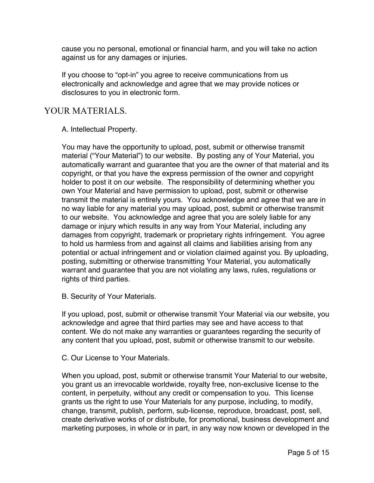cause you no personal, emotional or financial harm, and you will take no action against us for any damages or injuries.

If you choose to "opt-in" you agree to receive communications from us electronically and acknowledge and agree that we may provide notices or disclosures to you in electronic form.

## YOUR MATERIALS.

A. Intellectual Property.

You may have the opportunity to upload, post, submit or otherwise transmit material ("Your Material") to our website. By posting any of Your Material, you automatically warrant and guarantee that you are the owner of that material and its copyright, or that you have the express permission of the owner and copyright holder to post it on our website. The responsibility of determining whether you own Your Material and have permission to upload, post, submit or otherwise transmit the material is entirely yours. You acknowledge and agree that we are in no way liable for any material you may upload, post, submit or otherwise transmit to our website. You acknowledge and agree that you are solely liable for any damage or injury which results in any way from Your Material, including any damages from copyright, trademark or proprietary rights infringement. You agree to hold us harmless from and against all claims and liabilities arising from any potential or actual infringement and or violation claimed against you. By uploading, posting, submitting or otherwise transmitting Your Material, you automatically warrant and guarantee that you are not violating any laws, rules, regulations or rights of third parties.

B. Security of Your Materials.

If you upload, post, submit or otherwise transmit Your Material via our website, you acknowledge and agree that third parties may see and have access to that content. We do not make any warranties or guarantees regarding the security of any content that you upload, post, submit or otherwise transmit to our website.

C. Our License to Your Materials.

When you upload, post, submit or otherwise transmit Your Material to our website, you grant us an irrevocable worldwide, royalty free, non-exclusive license to the content, in perpetuity, without any credit or compensation to you. This license grants us the right to use Your Materials for any purpose, including, to modify, change, transmit, publish, perform, sub-license, reproduce, broadcast, post, sell, create derivative works of or distribute, for promotional, business development and marketing purposes, in whole or in part, in any way now known or developed in the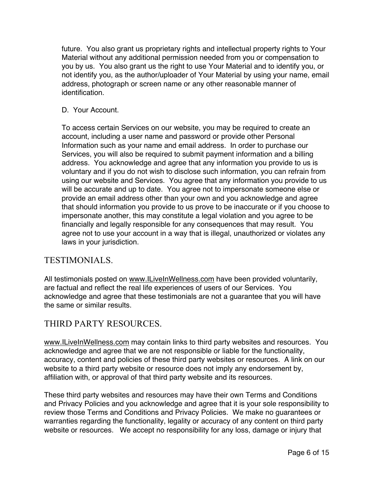future. You also grant us proprietary rights and intellectual property rights to Your Material without any additional permission needed from you or compensation to you by us. You also grant us the right to use Your Material and to identify you, or not identify you, as the author/uploader of Your Material by using your name, email address, photograph or screen name or any other reasonable manner of identification.

#### D. Your Account.

To access certain Services on our website, you may be required to create an account, including a user name and password or provide other Personal Information such as your name and email address. In order to purchase our Services, you will also be required to submit payment information and a billing address. You acknowledge and agree that any information you provide to us is voluntary and if you do not wish to disclose such information, you can refrain from using our website and Services. You agree that any information you provide to us will be accurate and up to date. You agree not to impersonate someone else or provide an email address other than your own and you acknowledge and agree that should information you provide to us prove to be inaccurate or if you choose to impersonate another, this may constitute a legal violation and you agree to be financially and legally responsible for any consequences that may result. You agree not to use your account in a way that is illegal, unauthorized or violates any laws in your jurisdiction.

## TESTIMONIALS.

All testimonials posted on www.ILiveInWellness.com have been provided voluntarily, are factual and reflect the real life experiences of users of our Services. You acknowledge and agree that these testimonials are not a guarantee that you will have the same or similar results.

## THIRD PARTY RESOURCES.

www.ILiveInWellness.com may contain links to third party websites and resources. You acknowledge and agree that we are not responsible or liable for the functionality, accuracy, content and policies of these third party websites or resources. A link on our website to a third party website or resource does not imply any endorsement by, affiliation with, or approval of that third party website and its resources.

These third party websites and resources may have their own Terms and Conditions and Privacy Policies and you acknowledge and agree that it is your sole responsibility to review those Terms and Conditions and Privacy Policies. We make no guarantees or warranties regarding the functionality, legality or accuracy of any content on third party website or resources. We accept no responsibility for any loss, damage or injury that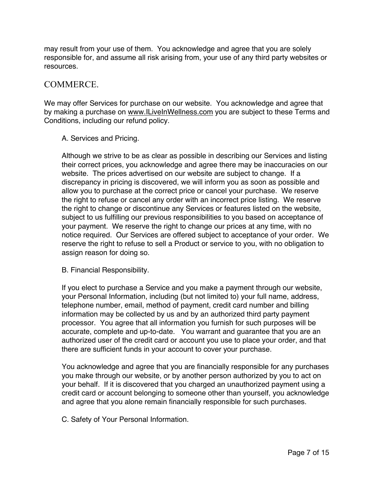may result from your use of them. You acknowledge and agree that you are solely responsible for, and assume all risk arising from, your use of any third party websites or resources.

## **COMMERCE**

We may offer Services for purchase on our website. You acknowledge and agree that by making a purchase on www.ILiveInWellness.com you are subject to these Terms and Conditions, including our refund policy.

#### A. Services and Pricing.

Although we strive to be as clear as possible in describing our Services and listing their correct prices, you acknowledge and agree there may be inaccuracies on our website. The prices advertised on our website are subject to change. If a discrepancy in pricing is discovered, we will inform you as soon as possible and allow you to purchase at the correct price or cancel your purchase. We reserve the right to refuse or cancel any order with an incorrect price listing. We reserve the right to change or discontinue any Services or features listed on the website, subject to us fulfilling our previous responsibilities to you based on acceptance of your payment. We reserve the right to change our prices at any time, with no notice required. Our Services are offered subject to acceptance of your order. We reserve the right to refuse to sell a Product or service to you, with no obligation to assign reason for doing so.

#### B. Financial Responsibility.

If you elect to purchase a Service and you make a payment through our website, your Personal Information, including (but not limited to) your full name, address, telephone number, email, method of payment, credit card number and billing information may be collected by us and by an authorized third party payment processor. You agree that all information you furnish for such purposes will be accurate, complete and up-to-date. You warrant and guarantee that you are an authorized user of the credit card or account you use to place your order, and that there are sufficient funds in your account to cover your purchase.

You acknowledge and agree that you are financially responsible for any purchases you make through our website, or by another person authorized by you to act on your behalf. If it is discovered that you charged an unauthorized payment using a credit card or account belonging to someone other than yourself, you acknowledge and agree that you alone remain financially responsible for such purchases.

C. Safety of Your Personal Information.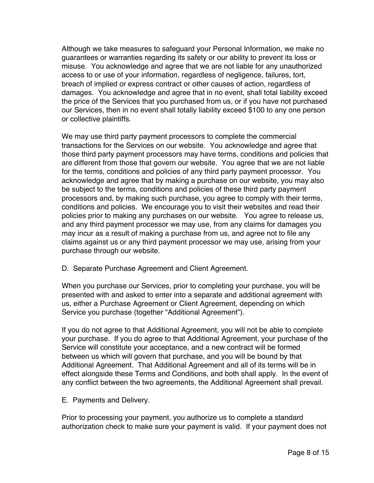Although we take measures to safeguard your Personal Information, we make no guarantees or warranties regarding its safety or our ability to prevent its loss or misuse. You acknowledge and agree that we are not liable for any unauthorized access to or use of your information, regardless of negligence, failures, tort, breach of implied or express contract or other causes of action, regardless of damages. You acknowledge and agree that in no event, shall total liability exceed the price of the Services that you purchased from us, or if you have not purchased our Services, then in no event shall totally liability exceed \$100 to any one person or collective plaintiffs.

We may use third party payment processors to complete the commercial transactions for the Services on our website. You acknowledge and agree that those third party payment processors may have terms, conditions and policies that are different from those that govern our website. You agree that we are not liable for the terms, conditions and policies of any third party payment processor. You acknowledge and agree that by making a purchase on our website, you may also be subject to the terms, conditions and policies of these third party payment processors and, by making such purchase, you agree to comply with their terms, conditions and policies. We encourage you to visit their websites and read their policies prior to making any purchases on our website. You agree to release us, and any third payment processor we may use, from any claims for damages you may incur as a result of making a purchase from us, and agree not to file any claims against us or any third payment processor we may use, arising from your purchase through our website.

D. Separate Purchase Agreement and Client Agreement.

When you purchase our Services, prior to completing your purchase, you will be presented with and asked to enter into a separate and additional agreement with us, either a Purchase Agreement or Client Agreement, depending on which Service you purchase (together "Additional Agreement").

If you do not agree to that Additional Agreement, you will not be able to complete your purchase. If you do agree to that Additional Agreement, your purchase of the Service will constitute your acceptance, and a new contract will be formed between us which will govern that purchase, and you will be bound by that Additional Agreement. That Additional Agreement and all of its terms will be in effect alongside these Terms and Conditions, and both shall apply. In the event of any conflict between the two agreements, the Additional Agreement shall prevail.

E. Payments and Delivery.

Prior to processing your payment, you authorize us to complete a standard authorization check to make sure your payment is valid. If your payment does not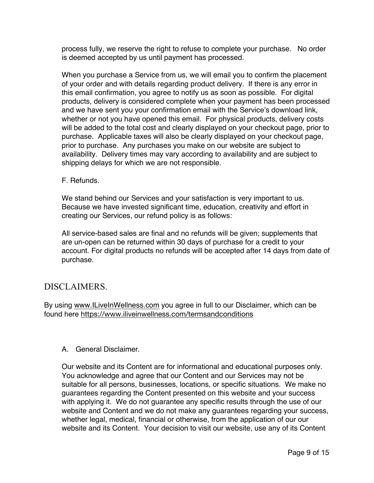process fully, we reserve the right to refuse to complete your purchase. No order is deemed accepted by us until payment has processed.

When you purchase a Service from us, we will email you to confirm the placement of your order and with details regarding product delivery. If there is any error in this email confirmation, you agree to notify us as soon as possible. For digital products, delivery is considered complete when your payment has been processed and we have sent you your confirmation email with the Service's download link, whether or not you have opened this email. For physical products, delivery costs will be added to the total cost and clearly displayed on your checkout page, prior to purchase. Applicable taxes will also be clearly displayed on your checkout page, prior to purchase. Any purchases you make on our website are subject to availability. Delivery times may vary according to availability and are subject to shipping delays for which we are not responsible.

#### F. Refunds.

We stand behind our Services and your satisfaction is very important to us. Because we have invested significant time, education, creativity and effort in creating our Services, our refund policy is as follows:

All service-based sales are final and no refunds will be given; supplements that are un-open can be returned within 30 days of purchase for a credit to your account. For digital products no refunds will be accepted after 14 days from date of purchase.

## DISCLAIMERS.

By using www.ILiveInWellness.com you agree in full to our Disclaimer, which can be found here https://www.iliveinwellness.com/termsandconditions

#### A. General Disclaimer.

Our website and its Content are for informational and educational purposes only. You acknowledge and agree that our Content and our Services may not be suitable for all persons, businesses, locations, or specific situations. We make no guarantees regarding the Content presented on this website and your success with applying it. We do not guarantee any specific results through the use of our website and Content and we do not make any guarantees regarding your success, whether legal, medical, financial or otherwise, from the application of our our website and its Content. Your decision to visit our website, use any of its Content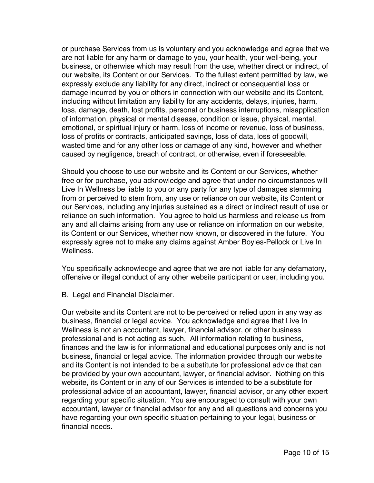or purchase Services from us is voluntary and you acknowledge and agree that we are not liable for any harm or damage to you, your health, your well-being, your business, or otherwise which may result from the use, whether direct or indirect, of our website, its Content or our Services. To the fullest extent permitted by law, we expressly exclude any liability for any direct, indirect or consequential loss or damage incurred by you or others in connection with our website and its Content, including without limitation any liability for any accidents, delays, injuries, harm, loss, damage, death, lost profits, personal or business interruptions, misapplication of information, physical or mental disease, condition or issue, physical, mental, emotional, or spiritual injury or harm, loss of income or revenue, loss of business, loss of profits or contracts, anticipated savings, loss of data, loss of goodwill, wasted time and for any other loss or damage of any kind, however and whether caused by negligence, breach of contract, or otherwise, even if foreseeable.

Should you choose to use our website and its Content or our Services, whether free or for purchase, you acknowledge and agree that under no circumstances will Live In Wellness be liable to you or any party for any type of damages stemming from or perceived to stem from, any use or reliance on our website, its Content or our Services, including any injuries sustained as a direct or indirect result of use or reliance on such information. You agree to hold us harmless and release us from any and all claims arising from any use or reliance on information on our website, its Content or our Services, whether now known, or discovered in the future. You expressly agree not to make any claims against Amber Boyles-Pellock or Live In Wellness.

You specifically acknowledge and agree that we are not liable for any defamatory, offensive or illegal conduct of any other website participant or user, including you.

B. Legal and Financial Disclaimer.

Our website and its Content are not to be perceived or relied upon in any way as business, financial or legal advice. You acknowledge and agree that Live In Wellness is not an accountant, lawyer, financial advisor, or other business professional and is not acting as such. All information relating to business, finances and the law is for informational and educational purposes only and is not business, financial or legal advice. The information provided through our website and its Content is not intended to be a substitute for professional advice that can be provided by your own accountant, lawyer, or financial advisor. Nothing on this website, its Content or in any of our Services is intended to be a substitute for professional advice of an accountant, lawyer, financial advisor, or any other expert regarding your specific situation. You are encouraged to consult with your own accountant, lawyer or financial advisor for any and all questions and concerns you have regarding your own specific situation pertaining to your legal, business or financial needs.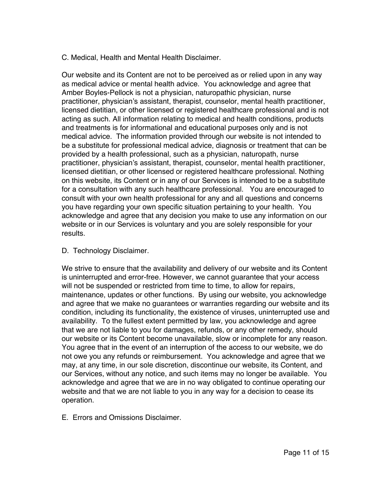C. Medical, Health and Mental Health Disclaimer.

Our website and its Content are not to be perceived as or relied upon in any way as medical advice or mental health advice. You acknowledge and agree that Amber Boyles-Pellock is not a physician, naturopathic physician, nurse practitioner, physician's assistant, therapist, counselor, mental health practitioner, licensed dietitian, or other licensed or registered healthcare professional and is not acting as such. All information relating to medical and health conditions, products and treatments is for informational and educational purposes only and is not medical advice. The information provided through our website is not intended to be a substitute for professional medical advice, diagnosis or treatment that can be provided by a health professional, such as a physician, naturopath, nurse practitioner, physician's assistant, therapist, counselor, mental health practitioner, licensed dietitian, or other licensed or registered healthcare professional. Nothing on this website, its Content or in any of our Services is intended to be a substitute for a consultation with any such healthcare professional. You are encouraged to consult with your own health professional for any and all questions and concerns you have regarding your own specific situation pertaining to your health. You acknowledge and agree that any decision you make to use any information on our website or in our Services is voluntary and you are solely responsible for your results.

D. Technology Disclaimer.

We strive to ensure that the availability and delivery of our website and its Content is uninterrupted and error-free. However, we cannot guarantee that your access will not be suspended or restricted from time to time, to allow for repairs, maintenance, updates or other functions. By using our website, you acknowledge and agree that we make no guarantees or warranties regarding our website and its condition, including its functionality, the existence of viruses, uninterrupted use and availability. To the fullest extent permitted by law, you acknowledge and agree that we are not liable to you for damages, refunds, or any other remedy, should our website or its Content become unavailable, slow or incomplete for any reason. You agree that in the event of an interruption of the access to our website, we do not owe you any refunds or reimbursement. You acknowledge and agree that we may, at any time, in our sole discretion, discontinue our website, its Content, and our Services, without any notice, and such items may no longer be available. You acknowledge and agree that we are in no way obligated to continue operating our website and that we are not liable to you in any way for a decision to cease its operation.

E. Errors and Omissions Disclaimer.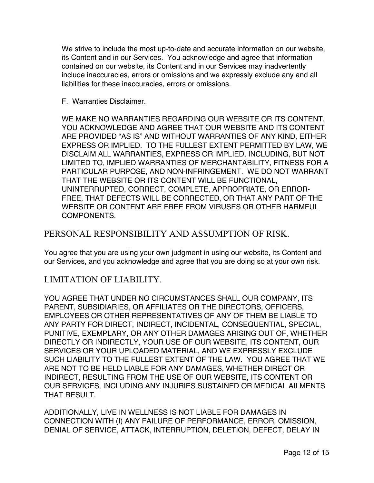We strive to include the most up-to-date and accurate information on our website, its Content and in our Services. You acknowledge and agree that information contained on our website, its Content and in our Services may inadvertently include inaccuracies, errors or omissions and we expressly exclude any and all liabilities for these inaccuracies, errors or omissions.

#### F. Warranties Disclaimer.

WE MAKE NO WARRANTIES REGARDING OUR WEBSITE OR ITS CONTENT. YOU ACKNOWLEDGE AND AGREE THAT OUR WEBSITE AND ITS CONTENT ARE PROVIDED "AS IS" AND WITHOUT WARRANTIES OF ANY KIND, EITHER EXPRESS OR IMPLIED. TO THE FULLEST EXTENT PERMITTED BY LAW, WE DISCLAIM ALL WARRANTIES, EXPRESS OR IMPLIED, INCLUDING, BUT NOT LIMITED TO, IMPLIED WARRANTIES OF MERCHANTABILITY, FITNESS FOR A PARTICULAR PURPOSE, AND NON-INFRINGEMENT. WE DO NOT WARRANT THAT THE WEBSITE OR ITS CONTENT WILL BE FUNCTIONAL, UNINTERRUPTED, CORRECT, COMPLETE, APPROPRIATE, OR ERROR-FREE, THAT DEFECTS WILL BE CORRECTED, OR THAT ANY PART OF THE WEBSITE OR CONTENT ARE FREE FROM VIRUSES OR OTHER HARMFUL COMPONENTS.

## PERSONAL RESPONSIBILITY AND ASSUMPTION OF RISK.

You agree that you are using your own judgment in using our website, its Content and our Services, and you acknowledge and agree that you are doing so at your own risk.

## LIMITATION OF LIABILITY.

YOU AGREE THAT UNDER NO CIRCUMSTANCES SHALL OUR COMPANY, ITS PARENT, SUBSIDIARIES, OR AFFILIATES OR THE DIRECTORS, OFFICERS, EMPLOYEES OR OTHER REPRESENTATIVES OF ANY OF THEM BE LIABLE TO ANY PARTY FOR DIRECT, INDIRECT, INCIDENTAL, CONSEQUENTIAL, SPECIAL, PUNITIVE, EXEMPLARY, OR ANY OTHER DAMAGES ARISING OUT OF, WHETHER DIRECTLY OR INDIRECTLY, YOUR USE OF OUR WEBSITE, ITS CONTENT, OUR SERVICES OR YOUR UPLOADED MATERIAL, AND WE EXPRESSLY EXCLUDE SUCH LIABILITY TO THE FULLEST EXTENT OF THE LAW. YOU AGREE THAT WE ARE NOT TO BE HELD LIABLE FOR ANY DAMAGES, WHETHER DIRECT OR INDIRECT, RESULTING FROM THE USE OF OUR WEBSITE, ITS CONTENT OR OUR SERVICES, INCLUDING ANY INJURIES SUSTAINED OR MEDICAL AILMENTS THAT RESULT.

ADDITIONALLY, LIVE IN WELLNESS IS NOT LIABLE FOR DAMAGES IN CONNECTION WITH (I) ANY FAILURE OF PERFORMANCE, ERROR, OMISSION, DENIAL OF SERVICE, ATTACK, INTERRUPTION, DELETION, DEFECT, DELAY IN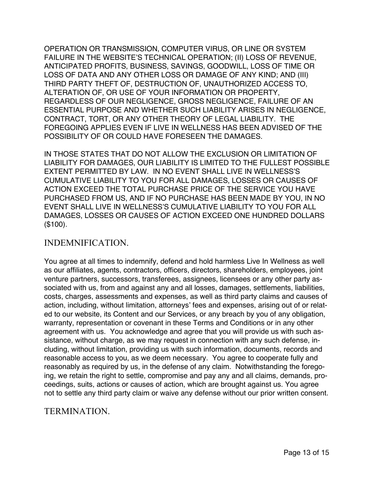OPERATION OR TRANSMISSION, COMPUTER VIRUS, OR LINE OR SYSTEM FAILURE IN THE WEBSITE'S TECHNICAL OPERATION; (II) LOSS OF REVENUE, ANTICIPATED PROFITS, BUSINESS, SAVINGS, GOODWILL, LOSS OF TIME OR LOSS OF DATA AND ANY OTHER LOSS OR DAMAGE OF ANY KIND; AND (III) THIRD PARTY THEFT OF, DESTRUCTION OF, UNAUTHORIZED ACCESS TO, ALTERATION OF, OR USE OF YOUR INFORMATION OR PROPERTY, REGARDLESS OF OUR NEGLIGENCE, GROSS NEGLIGENCE, FAILURE OF AN ESSENTIAL PURPOSE AND WHETHER SUCH LIABILITY ARISES IN NEGLIGENCE, CONTRACT, TORT, OR ANY OTHER THEORY OF LEGAL LIABILITY. THE FOREGOING APPLIES EVEN IF LIVE IN WELLNESS HAS BEEN ADVISED OF THE POSSIBILITY OF OR COULD HAVE FORESEEN THE DAMAGES.

IN THOSE STATES THAT DO NOT ALLOW THE EXCLUSION OR LIMITATION OF LIABILITY FOR DAMAGES, OUR LIABILITY IS LIMITED TO THE FULLEST POSSIBLE EXTENT PERMITTED BY LAW. IN NO EVENT SHALL LIVE IN WELLNESS'S CUMULATIVE LIABILITY TO YOU FOR ALL DAMAGES, LOSSES OR CAUSES OF ACTION EXCEED THE TOTAL PURCHASE PRICE OF THE SERVICE YOU HAVE PURCHASED FROM US, AND IF NO PURCHASE HAS BEEN MADE BY YOU, IN NO EVENT SHALL LIVE IN WELLNESS'S CUMULATIVE LIABILITY TO YOU FOR ALL DAMAGES, LOSSES OR CAUSES OF ACTION EXCEED ONE HUNDRED DOLLARS (\$100).

## INDEMNIFICATION.

You agree at all times to indemnify, defend and hold harmless Live In Wellness as well as our affiliates, agents, contractors, officers, directors, shareholders, employees, joint venture partners, successors, transferees, assignees, licensees or any other party associated with us, from and against any and all losses, damages, settlements, liabilities, costs, charges, assessments and expenses, as well as third party claims and causes of action, including, without limitation, attorneys' fees and expenses, arising out of or related to our website, its Content and our Services, or any breach by you of any obligation, warranty, representation or covenant in these Terms and Conditions or in any other agreement with us. You acknowledge and agree that you will provide us with such assistance, without charge, as we may request in connection with any such defense, including, without limitation, providing us with such information, documents, records and reasonable access to you, as we deem necessary. You agree to cooperate fully and reasonably as required by us, in the defense of any claim. Notwithstanding the foregoing, we retain the right to settle, compromise and pay any and all claims, demands, proceedings, suits, actions or causes of action, which are brought against us. You agree not to settle any third party claim or waive any defense without our prior written consent.

## TERMINATION.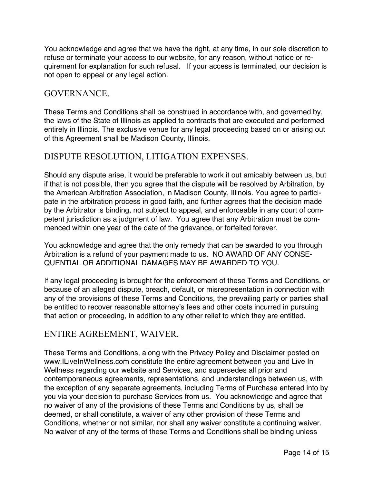You acknowledge and agree that we have the right, at any time, in our sole discretion to refuse or terminate your access to our website, for any reason, without notice or requirement for explanation for such refusal. If your access is terminated, our decision is not open to appeal or any legal action.

## GOVERNANCE.

These Terms and Conditions shall be construed in accordance with, and governed by, the laws of the State of Illinois as applied to contracts that are executed and performed entirely in Illinois. The exclusive venue for any legal proceeding based on or arising out of this Agreement shall be Madison County, Illinois.

## DISPUTE RESOLUTION, LITIGATION EXPENSES.

Should any dispute arise, it would be preferable to work it out amicably between us, but if that is not possible, then you agree that the dispute will be resolved by Arbitration, by the American Arbitration Association, in Madison County, Illinois. You agree to participate in the arbitration process in good faith, and further agrees that the decision made by the Arbitrator is binding, not subject to appeal, and enforceable in any court of competent jurisdiction as a judgment of law. You agree that any Arbitration must be commenced within one year of the date of the grievance, or forfeited forever.

You acknowledge and agree that the only remedy that can be awarded to you through Arbitration is a refund of your payment made to us. NO AWARD OF ANY CONSE-QUENTIAL OR ADDITIONAL DAMAGES MAY BE AWARDED TO YOU.

If any legal proceeding is brought for the enforcement of these Terms and Conditions, or because of an alleged dispute, breach, default, or misrepresentation in connection with any of the provisions of these Terms and Conditions, the prevailing party or parties shall be entitled to recover reasonable attorney's fees and other costs incurred in pursuing that action or proceeding, in addition to any other relief to which they are entitled.

## ENTIRE AGREEMENT, WAIVER.

These Terms and Conditions, along with the Privacy Policy and Disclaimer posted on www.ILiveInWellness.com constitute the entire agreement between you and Live In Wellness regarding our website and Services, and supersedes all prior and contemporaneous agreements, representations, and understandings between us, with the exception of any separate agreements, including Terms of Purchase entered into by you via your decision to purchase Services from us. You acknowledge and agree that no waiver of any of the provisions of these Terms and Conditions by us, shall be deemed, or shall constitute, a waiver of any other provision of these Terms and Conditions, whether or not similar, nor shall any waiver constitute a continuing waiver. No waiver of any of the terms of these Terms and Conditions shall be binding unless